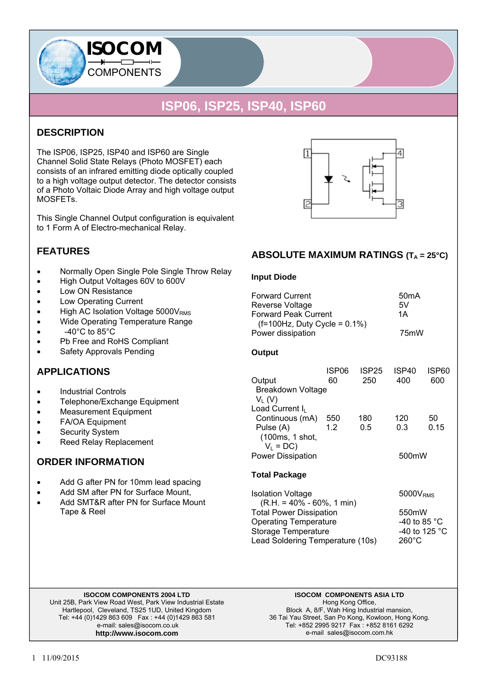### **DESCRIPTION**

The ISP06, ISP25, ISP40 and ISP60 are Single Channel Solid State Relays (Photo MOSFET) each consists of an infrared emitting diode optically coupled to a high voltage output detector. The detector consists of a Photo Voltaic Diode Array and high voltage output MOSFETs.

**ISOCOM** 

**COMPONENTS** 

This Single Channel Output configuration is equivalent to 1 Form A of Electro-mechanical Relay.

### **FEATURES**

- Normally Open Single Pole Single Throw Relay
- High Output Voltages 60V to 600V
- Low ON Resistance
- Low Operating Current
- $\bullet$  High AC Isolation Voltage 5000V<sub>RMS</sub>
- Wide Operating Temperature Range
- $-40^{\circ}$ C to 85 $^{\circ}$ C
- Pb Free and RoHS Compliant
- Safety Approvals Pending

### **APPLICATIONS**

- Industrial Controls
- Telephone/Exchange Equipment
- Measurement Equipment
- FA/OA Equipment
- Security System
- Reed Relay Replacement

#### **ORDER INFORMATION**

- Add G after PN for 10mm lead spacing
- Add SM after PN for Surface Mount.
- Add SMT&R after PN for Surface Mount Tape & Reel

#### **ABSOLUTE MAXIMUM RATINGS (T<sub>A</sub> = 25°C)**

Δ

#### **Input Diode**

I1

| <b>Forward Current</b><br>Reverse Voltage<br><b>Forward Peak Current</b><br>$(f=100 Hz, Duty Cycle = 0.1%)$<br>Power dissipation |             |              | 50 <sub>m</sub> A<br>5V<br>1А<br>75mW |              |
|----------------------------------------------------------------------------------------------------------------------------------|-------------|--------------|---------------------------------------|--------------|
| Output                                                                                                                           |             |              |                                       |              |
| Output<br><b>Breakdown Voltage</b><br>$V_L(V)$                                                                                   | ISP06<br>60 | ISP25<br>250 | ISP40<br>400                          | ISP60<br>600 |
| Load Current I <sub>I</sub><br>Continuous (mA)<br>Pulse (A)<br>(100ms, 1 shot,<br>$V_L = DC$<br><b>Power Dissipation</b>         | 550<br>1.2  | 180<br>0.5   | 120<br>0.3<br>500mW                   | 50<br>0.15   |

#### **Total Package**

Isolation Voltage 5000V<sub>RMS</sub>  $(R.H. = 40\% - 60\% , 1 min)$ Total Power Dissipation 6550mW Operating Temperature -40 to 85 °C Storage Temperature -40 to 125 °C Lead Soldering Temperature (10s) 260°C

#### **ISOCOM COMPONENTS 2004 LTD**

Unit 25B, Park View Road West, Park View Industrial Estate Hartlepool, Cleveland, TS25 1UD, United Kingdom Tel: +44 (0)1429 863 609 Fax : +44 (0)1429 863 581 e-mail: sales@isocom.co.uk **http://www.isocom.com** 

**ISOCOM COMPONENTS ASIA LTD**  Hong Kong Office, Block A, 8/F, Wah Hing Industrial mansion, 36 Tai Yau Street, San Po Kong, Kowloon, Hong Kong. Tel: +852 2995 9217 Fax : +852 8161 6292 e-mail sales@isocom.com.hk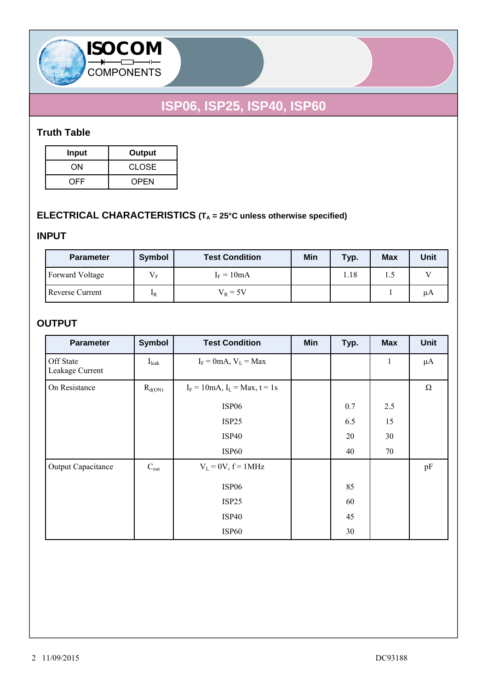

### **Truth Table**

| <b>Input</b> | Output      |
|--------------|-------------|
| ON           | CLOSE       |
| OFF.         | <b>OPEN</b> |

**ISOCOM** 

COMPONENTS

## **ELECTRICAL CHARACTERISTICS (TA = 25°C unless otherwise specified)**

### **INPUT**

| <b>Parameter</b>       | Symbol         | <b>Test Condition</b> | Min | Typ. | <b>Max</b> | <b>Unit</b> |
|------------------------|----------------|-----------------------|-----|------|------------|-------------|
| <b>Forward Voltage</b> | $V_{\rm E}$    | $I_F = 10mA$          |     | 1.18 | 1.5        |             |
| <b>Reverse Current</b> | 1 <sub>R</sub> | $V_{R} = 5V$          |     |      |            | μA          |

### **OUTPUT**

| <b>Parameter</b>             | <b>Symbol</b>     | <b>Test Condition</b>                 | Min | Typ. | <b>Max</b>   | Unit    |
|------------------------------|-------------------|---------------------------------------|-----|------|--------------|---------|
| Off State<br>Leakage Current | I <sub>leak</sub> | $I_F = 0$ mA, $V_L = Max$             |     |      | $\mathbf{1}$ | $\mu A$ |
| On Resistance                | $R_{d(ON)}$       | $I_F = 10$ mA, $I_L = Max$ , $t = 1s$ |     |      |              | Ω       |
|                              |                   | ISP <sub>06</sub>                     |     | 0.7  | 2.5          |         |
|                              |                   | ISP25                                 |     | 6.5  | 15           |         |
|                              |                   | <b>ISP40</b>                          |     | 20   | 30           |         |
|                              |                   | ISP <sub>60</sub>                     |     | 40   | 70           |         |
| <b>Output Capacitance</b>    | $C_{\text{out}}$  | $V_L = 0V$ , $f = 1MHz$               |     |      |              | pF      |
|                              |                   | ISP <sub>06</sub>                     |     | 85   |              |         |
|                              |                   | ISP25                                 |     | 60   |              |         |
|                              |                   | <b>ISP40</b>                          |     | 45   |              |         |
|                              |                   | ISP <sub>60</sub>                     |     | 30   |              |         |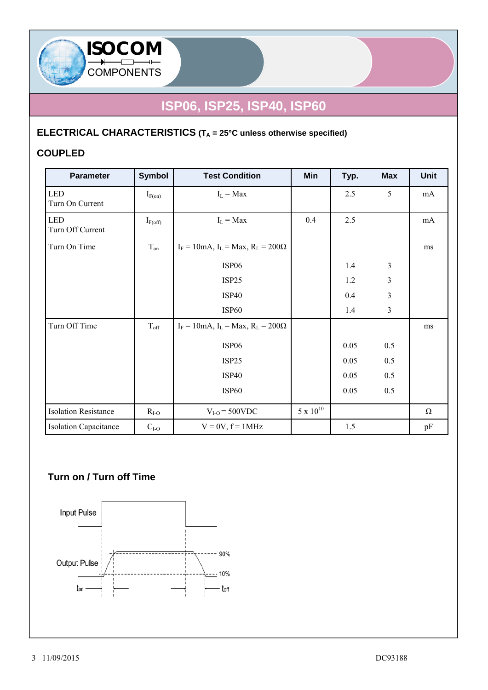

# **ELECTRICAL CHARACTERISTICS (TA = 25°C unless otherwise specified)**

### **COUPLED**

**ISOCOM** 

COMPONENTS

| <b>Parameter</b>               | <b>Symbol</b> | <b>Test Condition</b>                          | Min                | Typ. | <b>Max</b>     | <b>Unit</b> |
|--------------------------------|---------------|------------------------------------------------|--------------------|------|----------------|-------------|
| <b>LED</b><br>Turn On Current  | $I_{F(on)}$   | $I_L = Max$                                    |                    | 2.5  | 5              | mA          |
| <b>LED</b><br>Turn Off Current | $I_{F(off)}$  | $I_L = Max$                                    | 0.4                | 2.5  |                | mA          |
| Turn On Time                   | $T_{on}$      | $I_F = 10$ mA, $I_L = Max$ , $R_L = 200\Omega$ |                    |      |                | ms          |
|                                |               | ISP <sub>06</sub>                              |                    | 1.4  | $\mathfrak{Z}$ |             |
|                                |               | ISP25                                          |                    | 1.2  | 3              |             |
|                                |               | <b>ISP40</b>                                   |                    | 0.4  | 3              |             |
|                                |               | <b>ISP60</b>                                   |                    | 1.4  | $\overline{3}$ |             |
| Turn Off Time                  | $T_{\rm off}$ | $I_F = 10$ mA, $I_L = Max$ , $R_L = 200\Omega$ |                    |      |                | ms          |
|                                |               | ISP <sub>06</sub>                              |                    | 0.05 | 0.5            |             |
|                                |               | ISP25                                          |                    | 0.05 | 0.5            |             |
|                                |               | <b>ISP40</b>                                   |                    | 0.05 | 0.5            |             |
|                                |               | ISP <sub>60</sub>                              |                    | 0.05 | 0.5            |             |
| <b>Isolation Resistance</b>    | $R_{I-O}$     | $V_{I-O}$ = 500VDC                             | $5 \times 10^{10}$ |      |                | $\Omega$    |
| <b>Isolation Capacitance</b>   | $C_{I-O}$     | $V = 0V$ , $f = 1MHz$                          |                    | 1.5  |                | pF          |

### **Turn on / Turn off Time**

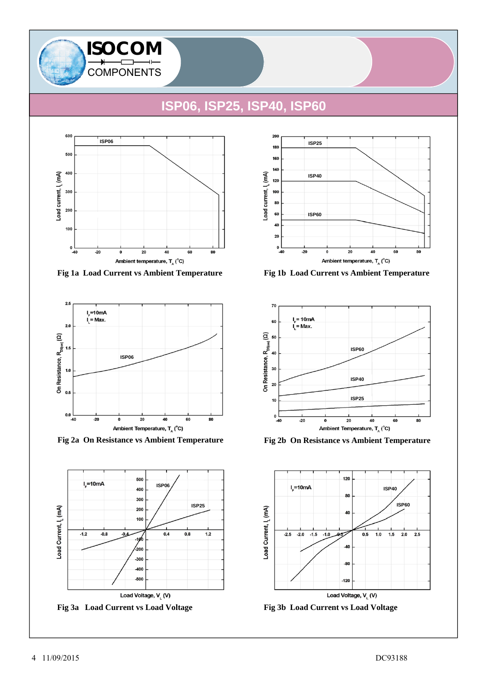



**Fig 1a Load Current vs Ambient Temperature Fig 1b Load Current vs Ambient Temperature**









**Fig 2a On Resistance vs Ambient Temperature Fig 2b On Resistance vs Ambient Temperature**



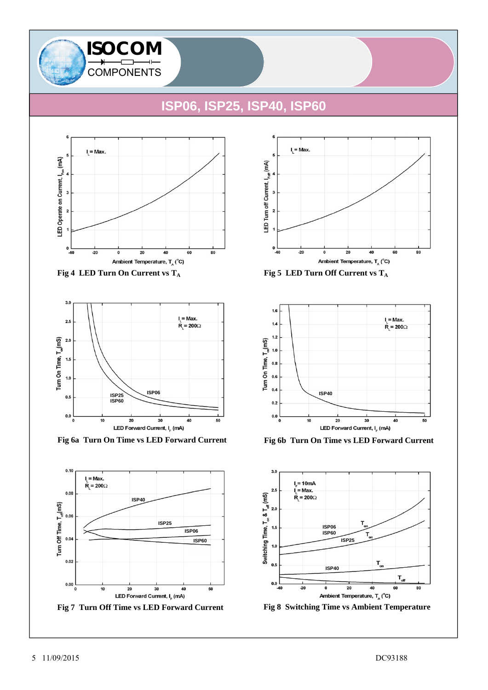







**Fig 6a Turn On Time vs LED Forward Current Fig 6b Turn On Time vs LED Forward Current**









**Fig 8 Switching Time vs Ambient Temperature**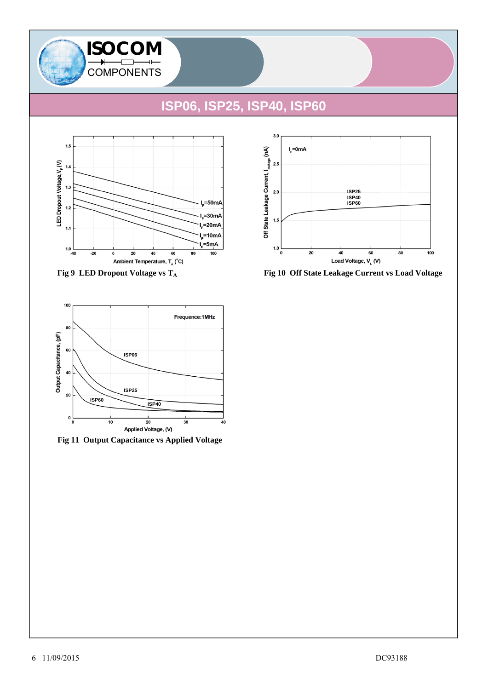





**Fig 11 Output Capacitance vs Applied Voltage**



Fig 9 LED Dropout Voltage vs T<sub>A</sub> Fig 10 Off State Leakage Current vs Load Voltage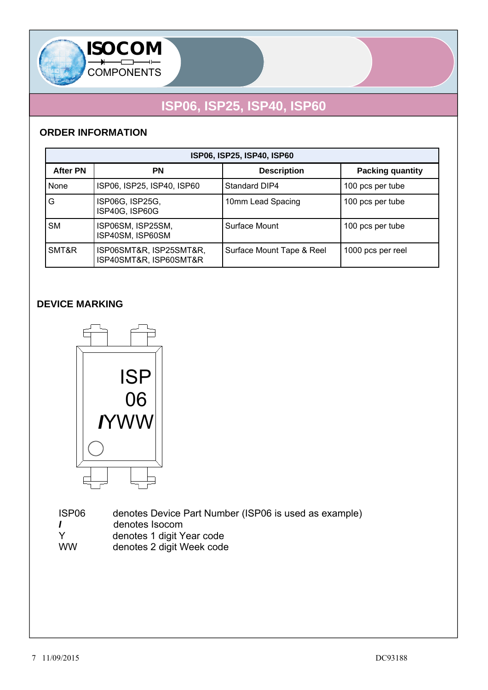

### **ORDER INFORMATION**

| ISP06, ISP25, ISP40, ISP60 |                                                   |                           |                         |  |  |
|----------------------------|---------------------------------------------------|---------------------------|-------------------------|--|--|
| <b>After PN</b>            | ΡN                                                | <b>Description</b>        | <b>Packing quantity</b> |  |  |
| None                       | ISP06, ISP25, ISP40, ISP60                        | Standard DIP4             | 100 pcs per tube        |  |  |
| G                          | ISP06G, ISP25G,<br>ISP40G, ISP60G                 | 10mm Lead Spacing         | 100 pcs per tube        |  |  |
| <b>SM</b>                  | ISP06SM, ISP25SM,<br>ISP40SM, ISP60SM             | Surface Mount             | 100 pcs per tube        |  |  |
| SMT&R                      | ISP06SMT&R, ISP25SMT&R,<br>ISP40SMT&R, ISP60SMT&R | Surface Mount Tape & Reel | 1000 pcs per reel       |  |  |

### **DEVICE MARKING**



 ISP06 denotes Device Part Number (ISP06 is used as example) *I* denotes Isocom<br>
Y denotes 1 digit Y Y denotes 1 digit Year code<br>WW denotes 2 digit Week code denotes 2 digit Week code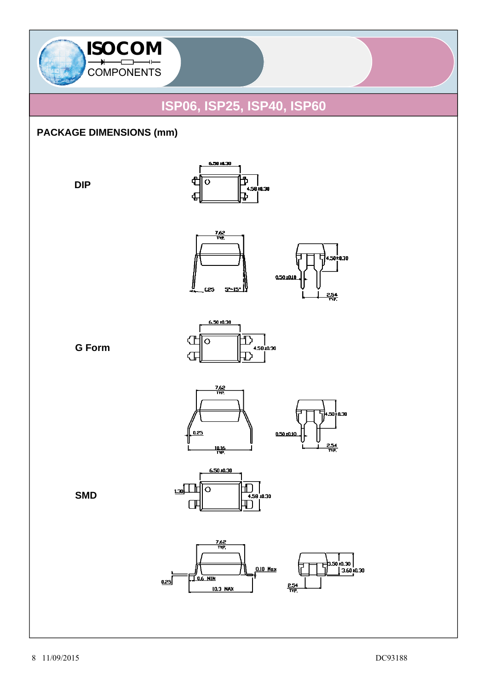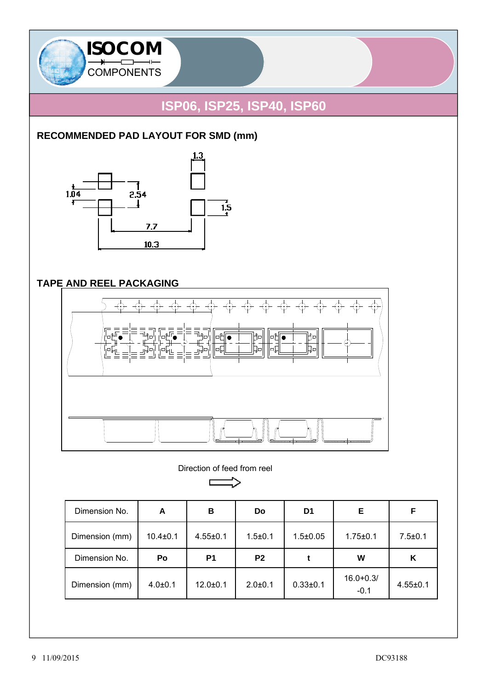

## **RECOMMENDED PAD LAYOUT FOR SMD (mm)**



## **TAPE AND REEL PACKAGING**



Direction of feed from reel

 $\Box$ 

| Dimension No.  | A              | в              | Do             | D <sub>1</sub> | Е              | F              |
|----------------|----------------|----------------|----------------|----------------|----------------|----------------|
| Dimension (mm) | $10.4 \pm 0.1$ | $4.55 \pm 0.1$ | $1.5 \pm 0.1$  | $1.5 \pm 0.05$ | $1.75 \pm 0.1$ | $7.5 \pm 0.1$  |
| Dimension No.  | Po             | P <sub>1</sub> | P <sub>2</sub> |                | W              | Κ              |
| Dimension (mm) | $4.0{\pm}0.1$  | $12.0 \pm 0.1$ | $2.0 + 0.1$    | $0.33 + 0.1$   | $16.0 + 0.3/$  | $4.55 \pm 0.1$ |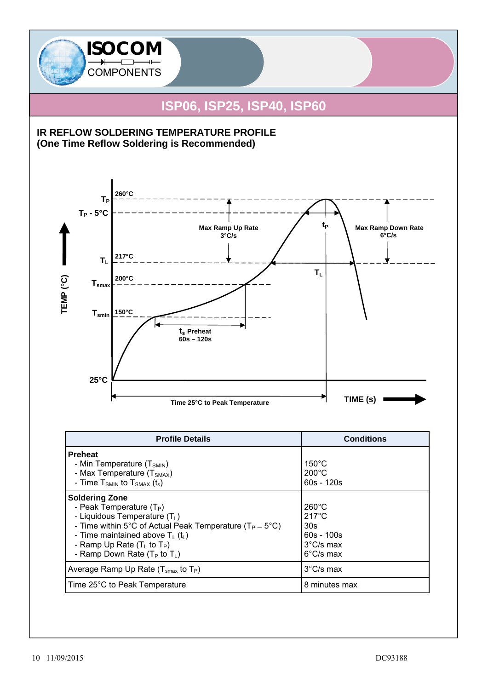

| <b>Preheat</b><br>- Min Temperature $(T_{SMIN})$<br>- Max Temperature (T <sub>SMAX</sub> )<br>- Time $T_{SMIN}$ to $T_{SMAX}$ (t <sub>s</sub> )                                                                                                                                     | $150^{\circ}$ C<br>$200^{\circ}$ C<br>$60s - 120s$                                                                  |
|-------------------------------------------------------------------------------------------------------------------------------------------------------------------------------------------------------------------------------------------------------------------------------------|---------------------------------------------------------------------------------------------------------------------|
| <b>Soldering Zone</b><br>- Peak Temperature $(T_P)$<br>- Liquidous Temperature $(T_L)$<br>- Time within 5°C of Actual Peak Temperature ( $T_P = 5$ °C)<br>- Time maintained above $T_L$ (t <sub>L</sub> )<br>- Ramp Up Rate $(T_L$ to $T_P)$<br>- Ramp Down Rate ( $T_P$ to $T_L$ ) | $260^{\circ}$ C<br>$217^{\circ}$ C<br>30 <sub>s</sub><br>$60s - 100s$<br>$3^{\circ}$ C/s max<br>$6^{\circ}$ C/s max |
| Average Ramp Up Rate ( $T_{\text{smax}}$ to $T_P$ )                                                                                                                                                                                                                                 | $3^{\circ}$ C/s max                                                                                                 |
| Time 25°C to Peak Temperature                                                                                                                                                                                                                                                       | 8 minutes max                                                                                                       |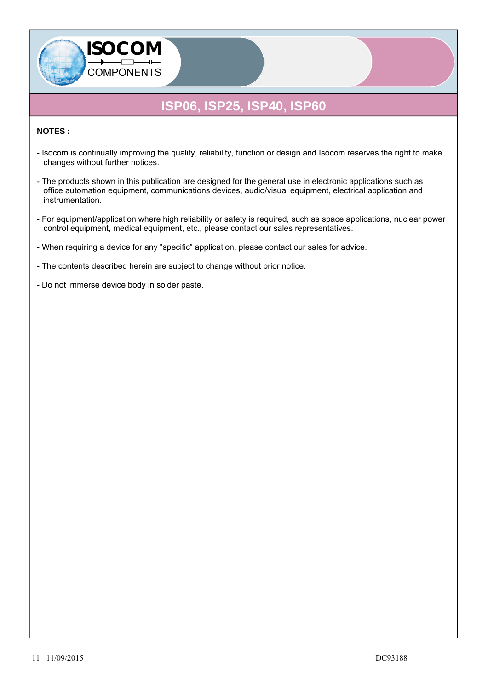#### **NOTES :**

- Isocom is continually improving the quality, reliability, function or design and Isocom reserves the right to make changes without further notices.
- The products shown in this publication are designed for the general use in electronic applications such as office automation equipment, communications devices, audio/visual equipment, electrical application and instrumentation.
- For equipment/application where high reliability or safety is required, such as space applications, nuclear power control equipment, medical equipment, etc., please contact our sales representatives.

- When requiring a device for any "specific" application, please contact our sales for advice.

- The contents described herein are subject to change without prior notice.
- Do not immerse device body in solder paste.

**ISOCOM** 

COMPONENTS